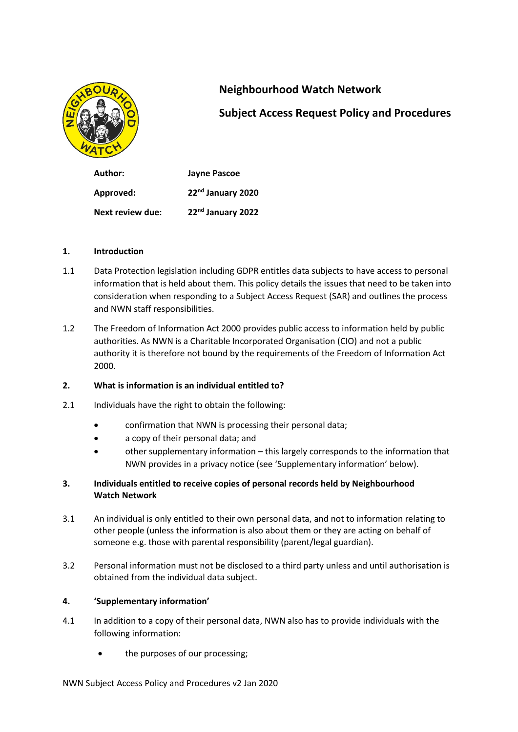

# **Neighbourhood Watch Network**

# **Subject Access Request Policy and Procedures**

**Author: Jayne Pascoe Approved: 22nd January 2020 Next review due: 22nd January 2022**

## **1. Introduction**

- 1.1 Data Protection legislation including GDPR entitles data subjects to have access to personal information that is held about them. This policy details the issues that need to be taken into consideration when responding to a Subject Access Request (SAR) and outlines the process and NWN staff responsibilities.
- 1.2 The Freedom of Information Act 2000 provides public access to information held by public authorities. As NWN is a Charitable Incorporated Organisation (CIO) and not a public authority it is therefore not bound by the requirements of the Freedom of Information Act 2000.

## **2. What is information is an individual entitled to?**

- 2.1 Individuals have the right to obtain the following:
	- confirmation that NWN is processing their personal data;
	- a copy of their personal data; and
	- other supplementary information this largely corresponds to the information that NWN provides in a privacy notice (see 'Supplementary information' below).

## **3. Individuals entitled to receive copies of personal records held by Neighbourhood Watch Network**

- 3.1 An individual is only entitled to their own personal data, and not to information relating to other people (unless the information is also about them or they are acting on behalf of someone e.g. those with parental responsibility (parent/legal guardian).
- 3.2 Personal information must not be disclosed to a third party unless and until authorisation is obtained from the individual data subject.

## **4. 'Supplementary information'**

- 4.1 In addition to a copy of their personal data, NWN also has to provide individuals with the following information:
	- the purposes of our processing;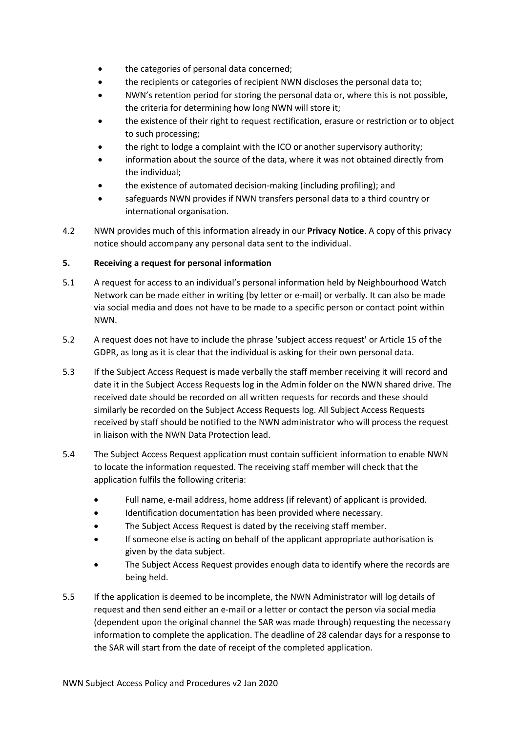- the categories of personal data concerned;
- the recipients or categories of recipient NWN discloses the personal data to;
- NWN's retention period for storing the personal data or, where this is not possible, the criteria for determining how long NWN will store it;
- the existence of their right to request rectification, erasure or restriction or to object to such processing;
- the right to lodge a complaint with the ICO or another supervisory authority;
- information about the source of the data, where it was not obtained directly from the individual;
- the existence of automated decision-making (including profiling); and
- safeguards NWN provides if NWN transfers personal data to a third country or international organisation.
- 4.2 NWN provides much of this information already in our **Privacy Notice**. A copy of this privacy notice should accompany any personal data sent to the individual.

## **5. Receiving a request for personal information**

- 5.1 A request for access to an individual's personal information held by Neighbourhood Watch Network can be made either in writing (by letter or e-mail) or verbally. It can also be made via social media and does not have to be made to a specific person or contact point within NWN.
- 5.2 A request does not have to include the phrase 'subject access request' or Article 15 of the GDPR, as long as it is clear that the individual is asking for their own personal data.
- 5.3 If the Subject Access Request is made verbally the staff member receiving it will record and date it in the Subject Access Requests log in the Admin folder on the NWN shared drive. The received date should be recorded on all written requests for records and these should similarly be recorded on the Subject Access Requests log. All Subject Access Requests received by staff should be notified to the NWN administrator who will process the request in liaison with the NWN Data Protection lead.
- 5.4 The Subject Access Request application must contain sufficient information to enable NWN to locate the information requested. The receiving staff member will check that the application fulfils the following criteria:
	- Full name, e-mail address, home address (if relevant) of applicant is provided.
	- Identification documentation has been provided where necessary.
	- The Subject Access Request is dated by the receiving staff member.
	- If someone else is acting on behalf of the applicant appropriate authorisation is given by the data subject.
	- The Subject Access Request provides enough data to identify where the records are being held.
- 5.5 If the application is deemed to be incomplete, the NWN Administrator will log details of request and then send either an e-mail or a letter or contact the person via social media (dependent upon the original channel the SAR was made through) requesting the necessary information to complete the application. The deadline of 28 calendar days for a response to the SAR will start from the date of receipt of the completed application.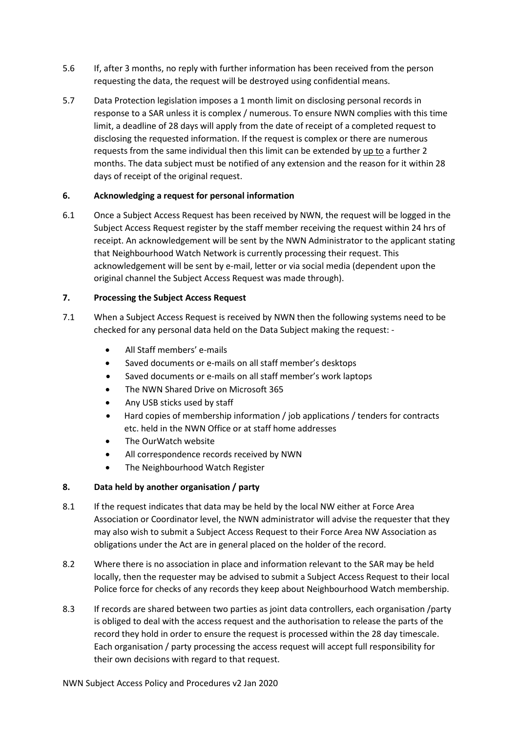- 5.6 If, after 3 months, no reply with further information has been received from the person requesting the data, the request will be destroyed using confidential means.
- 5.7 Data Protection legislation imposes a 1 month limit on disclosing personal records in response to a SAR unless it is complex / numerous. To ensure NWN complies with this time limit, a deadline of 28 days will apply from the date of receipt of a completed request to disclosing the requested information. If the request is complex or there are numerous requests from the same individual then this limit can be extended by up to a further 2 months. The data subject must be notified of any extension and the reason for it within 28 days of receipt of the original request.

## **6. Acknowledging a request for personal information**

6.1 Once a Subject Access Request has been received by NWN, the request will be logged in the Subject Access Request register by the staff member receiving the request within 24 hrs of receipt. An acknowledgement will be sent by the NWN Administrator to the applicant stating that Neighbourhood Watch Network is currently processing their request. This acknowledgement will be sent by e-mail, letter or via social media (dependent upon the original channel the Subject Access Request was made through).

## **7. Processing the Subject Access Request**

- 7.1 When a Subject Access Request is received by NWN then the following systems need to be checked for any personal data held on the Data Subject making the request: -
	- All Staff members' e-mails
	- Saved documents or e-mails on all staff member's desktops
	- Saved documents or e-mails on all staff member's work laptops
	- The NWN Shared Drive on Microsoft 365
	- Any USB sticks used by staff
	- Hard copies of membership information / job applications / tenders for contracts etc. held in the NWN Office or at staff home addresses
	- The OurWatch website
	- All correspondence records received by NWN
	- The Neighbourhood Watch Register

## **8. Data held by another organisation / party**

- 8.1 If the request indicates that data may be held by the local NW either at Force Area Association or Coordinator level, the NWN administrator will advise the requester that they may also wish to submit a Subject Access Request to their Force Area NW Association as obligations under the Act are in general placed on the holder of the record.
- 8.2 Where there is no association in place and information relevant to the SAR may be held locally, then the requester may be advised to submit a Subject Access Request to their local Police force for checks of any records they keep about Neighbourhood Watch membership.
- 8.3 If records are shared between two parties as joint data controllers, each organisation /party is obliged to deal with the access request and the authorisation to release the parts of the record they hold in order to ensure the request is processed within the 28 day timescale. Each organisation / party processing the access request will accept full responsibility for their own decisions with regard to that request.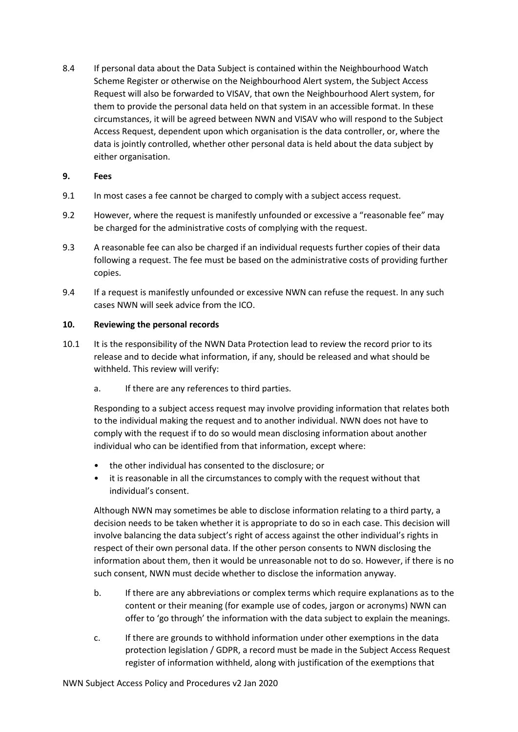8.4 If personal data about the Data Subject is contained within the Neighbourhood Watch Scheme Register or otherwise on the Neighbourhood Alert system, the Subject Access Request will also be forwarded to VISAV, that own the Neighbourhood Alert system, for them to provide the personal data held on that system in an accessible format. In these circumstances, it will be agreed between NWN and VISAV who will respond to the Subject Access Request, dependent upon which organisation is the data controller, or, where the data is jointly controlled, whether other personal data is held about the data subject by either organisation.

### **9. Fees**

- 9.1 In most cases a fee cannot be charged to comply with a subject access request.
- 9.2 However, where the request is manifestly unfounded or excessive a "reasonable fee" may be charged for the administrative costs of complying with the request.
- 9.3 A reasonable fee can also be charged if an individual requests further copies of their data following a request. The fee must be based on the administrative costs of providing further copies.
- 9.4 If a request is manifestly unfounded or excessive NWN can refuse the request. In any such cases NWN will seek advice from the ICO.

### **10. Reviewing the personal records**

- 10.1 It is the responsibility of the NWN Data Protection lead to review the record prior to its release and to decide what information, if any, should be released and what should be withheld. This review will verify:
	- a. If there are any references to third parties.

Responding to a subject access request may involve providing information that relates both to the individual making the request and to another individual. NWN does not have to comply with the request if to do so would mean disclosing information about another individual who can be identified from that information, except where:

- the other individual has consented to the disclosure; or
- it is reasonable in all the circumstances to comply with the request without that individual's consent.

Although NWN may sometimes be able to disclose information relating to a third party, a decision needs to be taken whether it is appropriate to do so in each case. This decision will involve balancing the data subject's right of access against the other individual's rights in respect of their own personal data. If the other person consents to NWN disclosing the information about them, then it would be unreasonable not to do so. However, if there is no such consent, NWN must decide whether to disclose the information anyway.

- b. If there are any abbreviations or complex terms which require explanations as to the content or their meaning (for example use of codes, jargon or acronyms) NWN can offer to 'go through' the information with the data subject to explain the meanings.
- c. If there are grounds to withhold information under other exemptions in the data protection legislation / GDPR, a record must be made in the Subject Access Request register of information withheld, along with justification of the exemptions that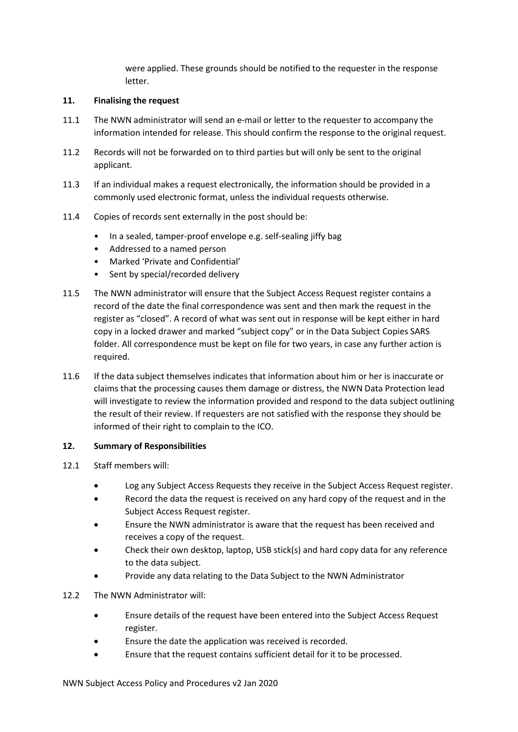were applied. These grounds should be notified to the requester in the response letter.

### **11. Finalising the request**

- 11.1 The NWN administrator will send an e-mail or letter to the requester to accompany the information intended for release. This should confirm the response to the original request.
- 11.2 Records will not be forwarded on to third parties but will only be sent to the original applicant.
- 11.3 If an individual makes a request electronically, the information should be provided in a commonly used electronic format, unless the individual requests otherwise.
- 11.4 Copies of records sent externally in the post should be:
	- In a sealed, tamper-proof envelope e.g. self-sealing jiffy bag
	- Addressed to a named person
	- Marked 'Private and Confidential'
	- Sent by special/recorded delivery
- 11.5 The NWN administrator will ensure that the Subject Access Request register contains a record of the date the final correspondence was sent and then mark the request in the register as "closed". A record of what was sent out in response will be kept either in hard copy in a locked drawer and marked "subject copy" or in the Data Subject Copies SARS folder. All correspondence must be kept on file for two years, in case any further action is required.
- 11.6 If the data subject themselves indicates that information about him or her is inaccurate or claims that the processing causes them damage or distress, the NWN Data Protection lead will investigate to review the information provided and respond to the data subject outlining the result of their review. If requesters are not satisfied with the response they should be informed of their right to complain to the ICO.

#### **12. Summary of Responsibilities**

- 12.1 Staff members will:
	- Log any Subject Access Requests they receive in the Subject Access Request register.
	- Record the data the request is received on any hard copy of the request and in the Subject Access Request register.
	- Ensure the NWN administrator is aware that the request has been received and receives a copy of the request.
	- Check their own desktop, laptop, USB stick(s) and hard copy data for any reference to the data subject.
	- Provide any data relating to the Data Subject to the NWN Administrator

#### 12.2 The NWN Administrator will:

- Ensure details of the request have been entered into the Subject Access Request register.
- Ensure the date the application was received is recorded.
- Ensure that the request contains sufficient detail for it to be processed.